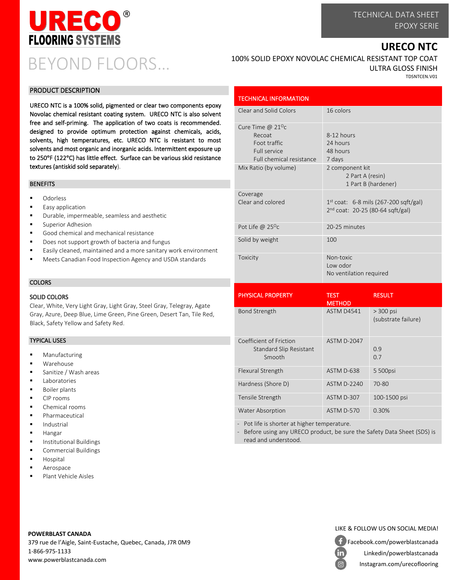

## BEYOND FLOORS…

### **URECO NTC**

#### PRODUCT DESCRIPTION

URECO NTC is a 100% solid, pigmented or clear two components epoxy Novolac chemical resistant coating system. URECO NTC is also solvent free and self-priming. The application of two coats is recommended. designed to provide optimum protection against chemicals, acids, solvents, high temperatures, etc. URECO NTC is resistant to most solvents and most organic and inorganic acids. Intermittent exposure up to 250°F (122°C) has little effect. Surface can be various skid resistance textures (antiskid sold separately).

#### BENEFITS

- Odorless
- Easy application
- Durable, impermeable, seamless and aesthetic
- Superior Adhesion
- Good chemical and mechanical resistance
- Does not support growth of bacteria and fungus
- Easily cleaned, maintained and a more sanitary work environment
- Meets Canadian Food Inspection Agency and USDA standards

#### **COLORS**

#### SOLID COLORS

Clear, White, Very Light Gray, Light Gray, Steel Gray, Telegray, Agate Gray, Azure, Deep Blue, Lime Green, Pine Green, Desert Tan, Tile Red, Black, Safety Yellow and Safety Red.

#### TYPICAL USES

- Manufacturing
- Warehouse
- Sanitize / Wash areas
- Laboratories
- **Boiler plants**
- CIP rooms
- Chemical rooms
- Pharmaceutical
- Industrial
- Hangar
- **■** Institutional Buildings
- Commercial Buildings
- **Hospital**
- Aerospace
- Plant Vehicle Aisles

#### 100% SOLID EPOXY NOVOLAC CHEMICAL RESISTANT TOP COAT ULTRA GLOSS FINISH TDSNTCEN.V01

| <b>TECHNICAL INFORMATION</b>                                                                            |                                                                                         |
|---------------------------------------------------------------------------------------------------------|-----------------------------------------------------------------------------------------|
| Clear and Solid Colors                                                                                  | 16 colors                                                                               |
| Cure Time @ $21^{\circ}$ c<br>Recoat<br>Foot traffic<br><b>Full service</b><br>Full chemical resistance | 8-12 hours<br>24 hours<br>48 hours<br>7 days                                            |
| Mix Ratio (by volume)                                                                                   | 2 component kit<br>2 Part A (resin)<br>1 Part B (hardener)                              |
| Coverage<br>Clear and colored                                                                           | $1st$ coat: 6-8 mils (267-200 sqft/gal)<br>2 <sup>nd</sup> coat: 20-25 (80-64 sqft/gal) |
| Pot Life @ $25^{\circ}$ c                                                                               | 20-25 minutes                                                                           |
| Solid by weight                                                                                         | 100                                                                                     |
| Toxicity                                                                                                | Non-toxic<br>Low odor<br>No ventilation required                                        |

| <b>PHYSICAL PROPERTY</b>                                            | <b>TEST</b><br><b>METHOD</b> | <b>RESULT</b>                      |
|---------------------------------------------------------------------|------------------------------|------------------------------------|
| <b>Bond Strength</b>                                                | ASTM D4541                   | $> 300$ psi<br>(substrate failure) |
| Coefficient of Friction<br><b>Standard Slip Resistant</b><br>Smooth | <b>ASTM D-2047</b>           | 0.9<br>0.7                         |
| Flexural Strength                                                   | ASTM D-638                   | 5 500psi                           |
| Hardness (Shore D)                                                  | <b>ASTM D-2240</b>           | 70-80                              |
| Tensile Strength                                                    | ASTM D-307                   | 100-1500 psi                       |
| <b>Water Absorption</b>                                             | ASTM D-570                   | 0.30%                              |

Pot life is shorter at higher temperature.

Before using any URECO product, be sure the Safety Data Sheet (SDS) is read and understood.



379 rue de l'Aigle, Saint-Eustache, Quebec, Canada, J7R 0M9 1-866-975-1133 www.powerblastcanada.com



Facebook.com/powerblastcanada Linkedin/powerblastcanada in Instagram.com/urecoflooring